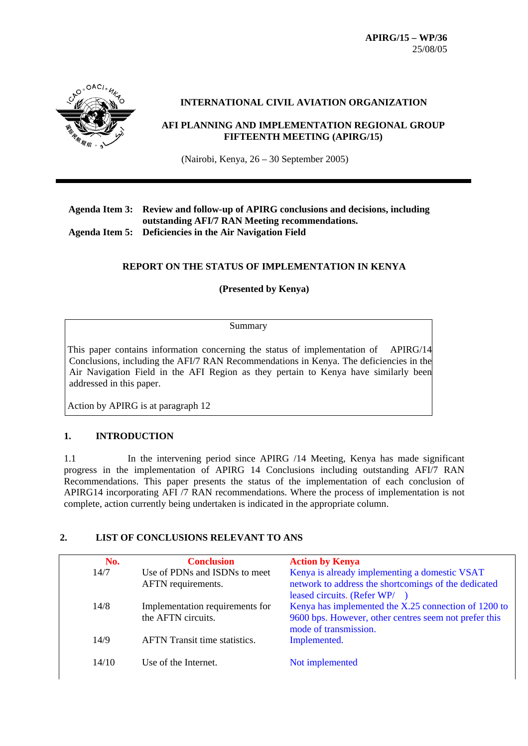

#### **INTERNATIONAL CIVIL AVIATION ORGANIZATION**

#### **AFI PLANNING AND IMPLEMENTATION REGIONAL GROUP FIFTEENTH MEETING (APIRG/15)**

(Nairobi, Kenya, 26 – 30 September 2005)

#### **Agenda Item 3: Review and follow-up of APIRG conclusions and decisions, including outstanding AFI/7 RAN Meeting recommendations. Agenda Item 5: Deficiencies in the Air Navigation Field**

# **REPORT ON THE STATUS OF IMPLEMENTATION IN KENYA**

#### **(Presented by Kenya)**

Summary

 This paper contains information concerning the status of implementation of APIRG/14 Conclusions, including the AFI/7 RAN Recommendations in Kenya. The deficiencies in the Air Navigation Field in the AFI Region as they pertain to Kenya have similarly been addressed in this paper.

Action by APIRG is at paragraph 12

### **1. INTRODUCTION**

1.1 In the intervening period since APIRG /14 Meeting, Kenya has made significant progress in the implementation of APIRG 14 Conclusions including outstanding AFI/7 RAN Recommendations. This paper presents the status of the implementation of each conclusion of APIRG14 incorporating AFI /7 RAN recommendations. Where the process of implementation is not complete, action currently being undertaken is indicated in the appropriate column.

### **2. LIST OF CONCLUSIONS RELEVANT TO ANS**

| No.   | <b>Conclusion</b>                    | <b>Action by Kenya</b>                                |
|-------|--------------------------------------|-------------------------------------------------------|
| 14/7  | Use of PDNs and ISDNs to meet        | Kenya is already implementing a domestic VSAT         |
|       | AFTN requirements.                   | network to address the shortcomings of the dedicated  |
|       |                                      | leased circuits. (Refer WP/                           |
| 14/8  | Implementation requirements for      | Kenya has implemented the X.25 connection of 1200 to  |
|       | the AFTN circuits.                   | 9600 bps. However, other centres seem not prefer this |
|       |                                      | mode of transmission.                                 |
| 14/9  | <b>AFTN</b> Transit time statistics. | Implemented.                                          |
|       |                                      |                                                       |
| 14/10 | Use of the Internet.                 | Not implemented                                       |
|       |                                      |                                                       |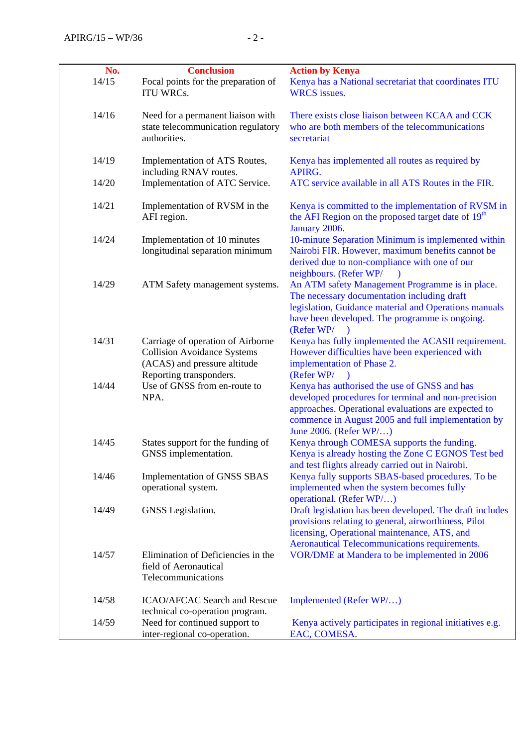| No.   | <b>Conclusion</b>                                                                                                                  | <b>Action by Kenya</b>                                                                                                                                                                                                                     |
|-------|------------------------------------------------------------------------------------------------------------------------------------|--------------------------------------------------------------------------------------------------------------------------------------------------------------------------------------------------------------------------------------------|
| 14/15 | Focal points for the preparation of<br><b>ITU WRCs.</b>                                                                            | Kenya has a National secretariat that coordinates ITU<br><b>WRCS</b> issues.                                                                                                                                                               |
| 14/16 | Need for a permanent liaison with<br>state telecommunication regulatory<br>authorities.                                            | There exists close liaison between KCAA and CCK<br>who are both members of the telecommunications<br>secretariat                                                                                                                           |
| 14/19 | Implementation of ATS Routes,<br>including RNAV routes.                                                                            | Kenya has implemented all routes as required by<br>APIRG.                                                                                                                                                                                  |
| 14/20 | Implementation of ATC Service.                                                                                                     | ATC service available in all ATS Routes in the FIR.                                                                                                                                                                                        |
| 14/21 | Implementation of RVSM in the<br>AFI region.                                                                                       | Kenya is committed to the implementation of RVSM in<br>the AFI Region on the proposed target date of 19 <sup>th</sup><br>January 2006.                                                                                                     |
| 14/24 | Implementation of 10 minutes<br>longitudinal separation minimum                                                                    | 10-minute Separation Minimum is implemented within<br>Nairobi FIR. However, maximum benefits cannot be<br>derived due to non-compliance with one of our<br>neighbours. (Refer WP/<br>$\rightarrow$                                         |
| 14/29 | ATM Safety management systems.                                                                                                     | An ATM safety Management Programme is in place.<br>The necessary documentation including draft<br>legislation, Guidance material and Operations manuals<br>have been developed. The programme is ongoing.<br>$(Refer \, WP/$               |
| 14/31 | Carriage of operation of Airborne<br><b>Collision Avoidance Systems</b><br>(ACAS) and pressure altitude<br>Reporting transponders. | Kenya has fully implemented the ACASII requirement.<br>However difficulties have been experienced with<br>implementation of Phase 2.<br>(Refer WP/ )                                                                                       |
| 14/44 | Use of GNSS from en-route to<br>NPA.                                                                                               | Kenya has authorised the use of GNSS and has<br>developed procedures for terminal and non-precision<br>approaches. Operational evaluations are expected to<br>commence in August 2005 and full implementation by<br>June 2006. (Refer WP/) |
| 14/45 | States support for the funding of<br>GNSS implementation.                                                                          | Kenya through COMESA supports the funding.<br>Kenya is already hosting the Zone C EGNOS Test bed<br>and test flights already carried out in Nairobi.                                                                                       |
| 14/46 | Implementation of GNSS SBAS<br>operational system.                                                                                 | Kenya fully supports SBAS-based procedures. To be<br>implemented when the system becomes fully<br>operational. (Refer WP/)                                                                                                                 |
| 14/49 | GNSS Legislation.                                                                                                                  | Draft legislation has been developed. The draft includes<br>provisions relating to general, airworthiness, Pilot<br>licensing, Operational maintenance, ATS, and<br><b>Aeronautical Telecommunications requirements.</b>                   |
| 14/57 | Elimination of Deficiencies in the<br>field of Aeronautical<br>Telecommunications                                                  | VOR/DME at Mandera to be implemented in 2006                                                                                                                                                                                               |
| 14/58 | ICAO/AFCAC Search and Rescue<br>technical co-operation program.                                                                    | Implemented (Refer WP/)                                                                                                                                                                                                                    |
| 14/59 | Need for continued support to<br>inter-regional co-operation.                                                                      | Kenya actively participates in regional initiatives e.g.<br>EAC, COMESA.                                                                                                                                                                   |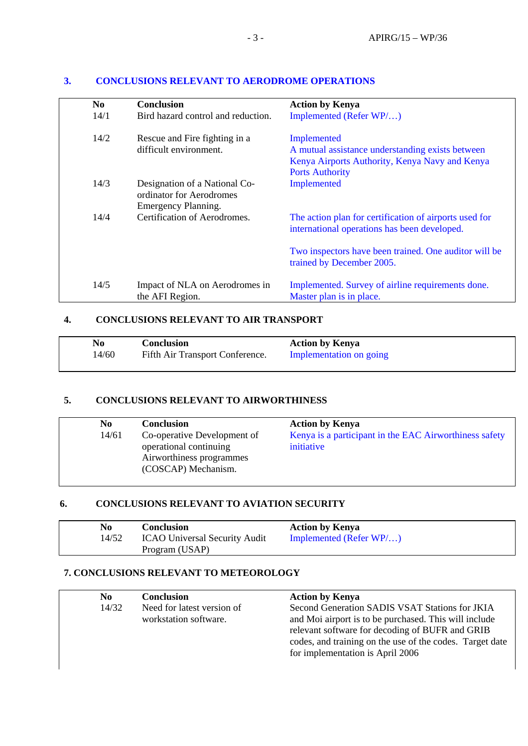| N <sub>0</sub> | <b>Conclusion</b>                                                                | <b>Action by Kenya</b>                                                                                                                      |
|----------------|----------------------------------------------------------------------------------|---------------------------------------------------------------------------------------------------------------------------------------------|
| 14/1           | Bird hazard control and reduction.                                               | Implemented (Refer WP/)                                                                                                                     |
| 14/2           | Rescue and Fire fighting in a<br>difficult environment.                          | Implemented<br>A mutual assistance understanding exists between<br>Kenya Airports Authority, Kenya Navy and Kenya<br><b>Ports Authority</b> |
| 14/3           | Designation of a National Co-<br>ordinator for Aerodromes<br>Emergency Planning. | Implemented                                                                                                                                 |
| 14/4           | Certification of Aerodromes.                                                     | The action plan for certification of airports used for<br>international operations has been developed.                                      |
|                |                                                                                  | Two inspectors have been trained. One auditor will be<br>trained by December 2005.                                                          |
| 14/5           | Impact of NLA on Aerodromes in<br>the AFI Region.                                | Implemented. Survey of airline requirements done.<br>Master plan is in place.                                                               |

#### **3. CONCLUSIONS RELEVANT TO AERODROME OPERATIONS**

### **4. CONCLUSIONS RELEVANT TO AIR TRANSPORT**

| No    | Conclusion                      | <b>Action by Kenya</b>  |
|-------|---------------------------------|-------------------------|
| 14/60 | Fifth Air Transport Conference. | Implementation on going |

#### **5. CONCLUSIONS RELEVANT TO AIRWORTHINESS**

| No    | <b>Conclusion</b>           | <b>Action by Kenya</b>                                 |
|-------|-----------------------------|--------------------------------------------------------|
| 14/61 | Co-operative Development of | Kenya is a participant in the EAC Airworthiness safety |
|       | operational continuing      | initiative                                             |
|       | Airworthiness programmes    |                                                        |
|       | (COSCAP) Mechanism.         |                                                        |

# **6. CONCLUSIONS RELEVANT TO AVIATION SECURITY**

| No    | <b>Conclusion</b>                    | <b>Action by Kenya</b>     |
|-------|--------------------------------------|----------------------------|
| 14/52 | <b>ICAO Universal Security Audit</b> | Implemented (Refer $WP/$ ) |
|       | Program (USAP)                       |                            |

### **7. CONCLUSIONS RELEVANT TO METEOROLOGY**

| N <sub>0</sub> | <b>Conclusion</b>          | <b>Action by Kenya</b>                                   |
|----------------|----------------------------|----------------------------------------------------------|
| 14/32          | Need for latest version of | Second Generation SADIS VSAT Stations for JKIA           |
|                | workstation software.      | and Moi airport is to be purchased. This will include    |
|                |                            | relevant software for decoding of BUFR and GRIB          |
|                |                            | codes, and training on the use of the codes. Target date |
|                |                            | for implementation is April 2006                         |
|                |                            |                                                          |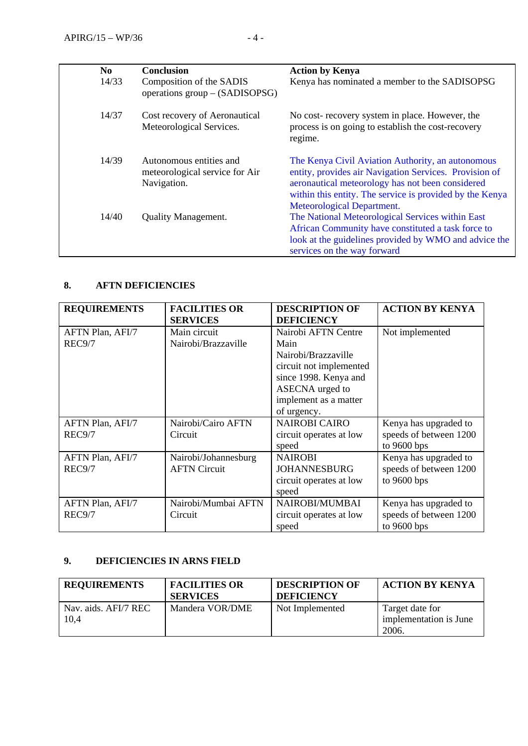| N <sub>0</sub><br>14/33 | <b>Conclusion</b><br>Composition of the SADIS<br>operations group – (SADISOPSG) | <b>Action by Kenya</b><br>Kenya has nominated a member to the SADISOPSG                                                                                                                                                                                   |
|-------------------------|---------------------------------------------------------------------------------|-----------------------------------------------------------------------------------------------------------------------------------------------------------------------------------------------------------------------------------------------------------|
| 14/37                   | Cost recovery of Aeronautical<br>Meteorological Services.                       | No cost-recovery system in place. However, the<br>process is on going to establish the cost-recovery<br>regime.                                                                                                                                           |
| 14/39                   | Autonomous entities and<br>meteorological service for Air<br>Navigation.        | The Kenya Civil Aviation Authority, an autonomous<br>entity, provides air Navigation Services. Provision of<br>aeronautical meteorology has not been considered<br>within this entity. The service is provided by the Kenya<br>Meteorological Department. |
| 14/40                   | <b>Quality Management.</b>                                                      | The National Meteorological Services within East<br>African Community have constituted a task force to<br>look at the guidelines provided by WMO and advice the<br>services on the way forward                                                            |

# **8. AFTN DEFICIENCIES**

| <b>REQUIREMENTS</b> | <b>FACILITIES OR</b> | <b>DESCRIPTION OF</b>   | <b>ACTION BY KENYA</b> |
|---------------------|----------------------|-------------------------|------------------------|
|                     | <b>SERVICES</b>      | <b>DEFICIENCY</b>       |                        |
| AFTN Plan, AFI/7    | Main circuit         | Nairobi AFTN Centre     | Not implemented        |
| REC9/7              | Nairobi/Brazzaville  | Main                    |                        |
|                     |                      | Nairobi/Brazzaville     |                        |
|                     |                      | circuit not implemented |                        |
|                     |                      | since 1998. Kenya and   |                        |
|                     |                      | ASECNA urged to         |                        |
|                     |                      | implement as a matter   |                        |
|                     |                      | of urgency.             |                        |
| AFTN Plan, AFI/7    | Nairobi/Cairo AFTN   | <b>NAIROBI CAIRO</b>    | Kenya has upgraded to  |
| <b>REC9/7</b>       | Circuit              | circuit operates at low | speeds of between 1200 |
|                     |                      | speed                   | to $9600$ bps          |
| AFTN Plan, AFI/7    | Nairobi/Johannesburg | <b>NAIROBI</b>          | Kenya has upgraded to  |
| REC9/7              | <b>AFTN Circuit</b>  | <b>JOHANNESBURG</b>     | speeds of between 1200 |
|                     |                      | circuit operates at low | to $9600$ bps          |
|                     |                      | speed                   |                        |
| AFTN Plan, AFI/7    | Nairobi/Mumbai AFTN  | NAIROBI/MUMBAI          | Kenya has upgraded to  |
| <b>REC9/7</b>       | Circuit              | circuit operates at low | speeds of between 1200 |
|                     |                      | speed                   | to $9600$ bps          |

### **9. DEFICIENCIES IN ARNS FIELD**

| <b>REQUIREMENTS</b>           | <b>FACILITIES OR</b><br><b>SERVICES</b> | <b>DESCRIPTION OF</b><br><b>DEFICIENCY</b> | <b>ACTION BY KENYA</b>                    |
|-------------------------------|-----------------------------------------|--------------------------------------------|-------------------------------------------|
| Nav. aids. AFI/7 REC.<br>10,4 | Mandera VOR/DME                         | Not Implemented                            | Target date for<br>implementation is June |
|                               |                                         |                                            | 2006.                                     |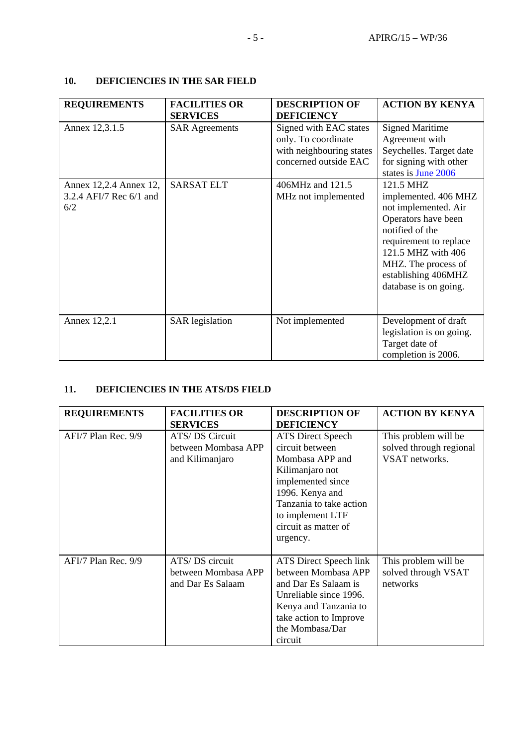| 10. | DEFICIENCIES IN THE SAR FIELD |  |
|-----|-------------------------------|--|
|-----|-------------------------------|--|

| <b>REQUIREMENTS</b>                                      | <b>FACILITIES OR</b><br><b>SERVICES</b> | <b>DESCRIPTION OF</b><br><b>DEFICIENCY</b>                                                         | <b>ACTION BY KENYA</b>                                                                                                                                                                                                     |
|----------------------------------------------------------|-----------------------------------------|----------------------------------------------------------------------------------------------------|----------------------------------------------------------------------------------------------------------------------------------------------------------------------------------------------------------------------------|
| Annex 12,3.1.5                                           | <b>SAR Agreements</b>                   | Signed with EAC states<br>only. To coordinate<br>with neighbouring states<br>concerned outside EAC | <b>Signed Maritime</b><br>Agreement with<br>Seychelles. Target date<br>for signing with other<br>states is June 2006                                                                                                       |
| Annex 12,2.4 Annex 12,<br>3.2.4 AFI/7 Rec 6/1 and<br>6/2 | <b>SARSAT ELT</b>                       | 406MHz and 121.5<br>MHz not implemented                                                            | 121.5 MHZ<br>implemented. 406 MHZ<br>not implemented. Air<br>Operators have been<br>notified of the<br>requirement to replace<br>121.5 MHZ with 406<br>MHZ. The process of<br>establishing 406MHZ<br>database is on going. |
| Annex 12,2.1                                             | <b>SAR</b> legislation                  | Not implemented                                                                                    | Development of draft<br>legislation is on going.<br>Target date of<br>completion is 2006.                                                                                                                                  |

# **11. DEFICIENCIES IN THE ATS/DS FIELD**

| <b>REQUIREMENTS</b> | <b>FACILITIES OR</b><br><b>SERVICES</b>                    | <b>DESCRIPTION OF</b><br><b>DEFICIENCY</b>                                                                                                                                                                   | <b>ACTION BY KENYA</b>                                            |
|---------------------|------------------------------------------------------------|--------------------------------------------------------------------------------------------------------------------------------------------------------------------------------------------------------------|-------------------------------------------------------------------|
| AFI/7 Plan Rec. 9/9 | ATS/DS Circuit<br>between Mombasa APP<br>and Kilimanjaro   | <b>ATS Direct Speech</b><br>circuit between<br>Mombasa APP and<br>Kilimanjaro not<br>implemented since<br>1996. Kenya and<br>Tanzania to take action<br>to implement LTF<br>circuit as matter of<br>urgency. | This problem will be<br>solved through regional<br>VSAT networks. |
| AFI/7 Plan Rec. 9/9 | ATS/DS circuit<br>between Mombasa APP<br>and Dar Es Salaam | ATS Direct Speech link<br>between Mombasa APP<br>and Dar Es Salaam is<br>Unreliable since 1996.<br>Kenya and Tanzania to<br>take action to Improve<br>the Mombasa/Dar<br>circuit                             | This problem will be<br>solved through VSAT<br>networks           |